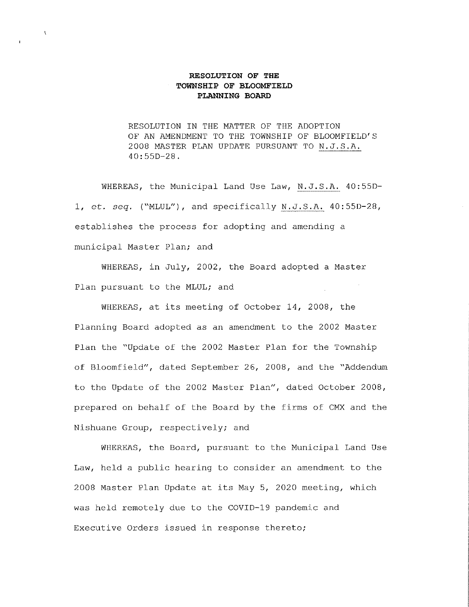#### **RESOLUTION OF THE TOWNSHIP OF BLOOMFIELD PLANNING BOARD**

RESOLUTION IN THE MATTER OF THE ADOPTION OF AN AMENDMENT TO THE TOWNSHIP OF BLOOMFIELD'S 2008 MASTER PLAN UPDATE PURSUANT TO N.J.S.A. 40:550-28.

WHEREAS, the Municipal Land Use Law, N.J.S.A. 40:55D-1, et. *seq.* ("MLUL"), and specifically N.J.S.A. 40:550-28, establishes the process for adopting and amending a municipal Master Plan; and

WHEREAS, in July, 2002, the Board adopted a Master Plan pursuant to the MLUL; and

WHEREAS, at its meeting of October 14, 2008, the Planning Board adopted as an amendment to the 2002 Master Plan the "Update of the 2002 Master Plan for the Township of Bloomfield", dated September 26, 2008, and the "Addendum to the Update of the 2002 Master Plan", dated October 2008, prepared on behalf of the Board by the firms of CMX and the Nishuane Group, respectively; and

WHEREAS, the Board, pursuant to the Municipal Land Use Law, held a public hearing to consider an amendment to the 2008 Master Plan Update at its May 5, 2020 meeting, which was held remotely due to the COVID-19 pandemic and Executive Orders issued in response thereto;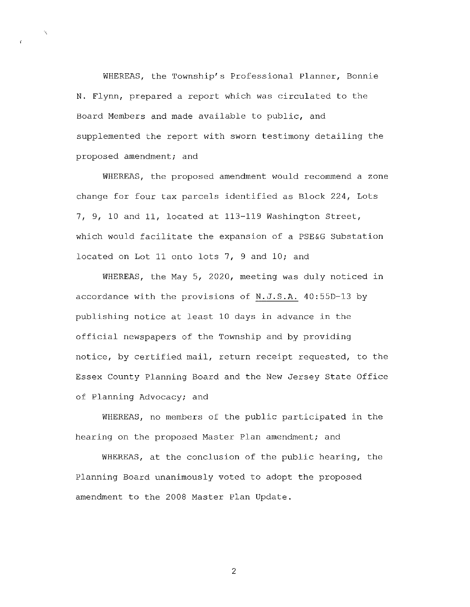WHEREAS, the Township's Professional Planner, Bonnie N. Flynn, prepared a report which was circulated to the Board Members and made available to public, and supplemented the report with sworn testimony detailing the proposed amendment; and

 $\mathbf{r}_q$ 

WHEREAS, the proposed amendment would recommend a zone change for four tax parcels identified as Block 224, Lots 7, 9, 10 and 11, located at 113-119 Washington Street, which would facilitate the expansion of a PSE&G Substation located on Lot 11 onto lots 7, 9 and 10; and

WHEREAS, the May 5, 2020, meeting was duly noticed in accordance with the provisions of N.J.S.A. 40:55D-13 by publishing notice at least 10 days in advance in the official newspapers of the Township and by providing notice, by certified mail, return receipt requested, to the Essex County Planning Board and the New Jersey State Office of Planning Advocacy; and

WHEREAS, no members of the public participated in the hearing on the proposed Master Plan amendment; and

WHEREAS, at the conclusion of the public hearing, the Planning Board unanimously voted to adopt the proposed amendment to the 2008 Master Plan Update.

2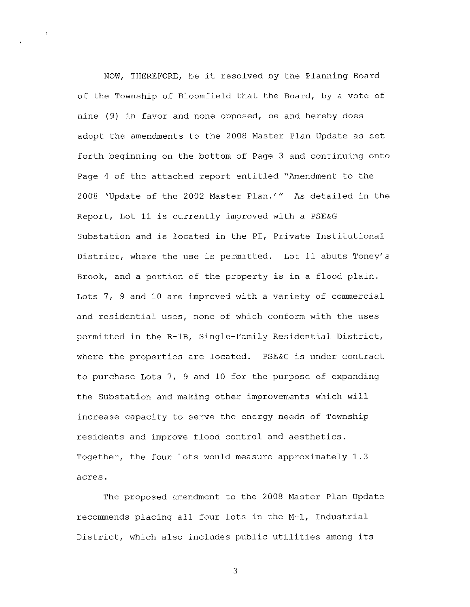NOW, THEREFORE, be it resolved by the Planning Board of the Township of Bloomfield that the Board, by a vote of nine (9) in favor and none opposed, be and hereby does adopt the amendments to the 2008 Master Plan Update as set forth beginning on the bottom of Page 3 and continuing onto Page 4 of the attached report entitled "Amendment to the 2008 'Update of the 2002 Master Plan.'" As detailed in the Report, Lot 11 is currently improved with a PSE&G Substation and is located in the PI, Private Institutional District, where the use is permitted. Lot 11 abuts Toney's Brook, and a portion of the property is in a flood plain. Lots 7, 9 and 10 are improved with a variety of commercial and residential uses, none of which conform with the uses permitted in the R-lB, Single-Family Residential District, where the properties are located. PSE&G is under contract to purchase Lots 7, 9 and 10 for the purpose of expanding the Substation and making other improvements which will increase capacity to serve the energy needs of Township residents and improve flood control and aesthetics. Together, the four lots would measure approximately 1.3 **acres.** 

The proposed amendment to the 2008 Master Plan Update recommends placing all four lots in the M-1, Industrial District, which also includes public utilities among its

3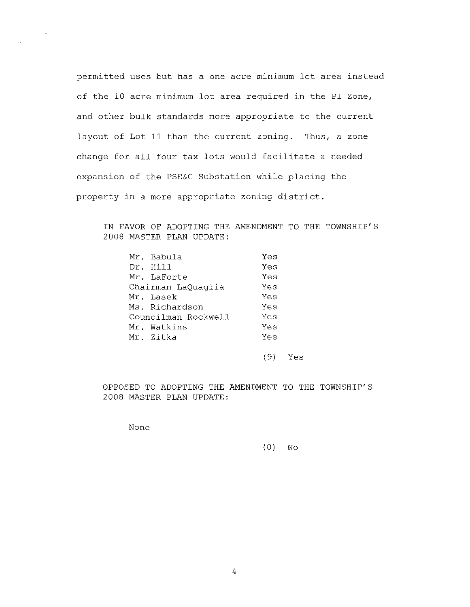permitted uses but has a one acre minimum lot area instead of the 10 acre minimum lot area required in the PI Zone, and other bulk standards more appropriate to the current layout of Lot 11 than the current zoning. Thus, a zone change for all four tax lots would facilitate a needed expansion of the PSE&G Substation while placing the property in a more appropriate zoning district.

IN FAVOR OF ADOPTING THE AMENDMENT TO THE TOWNSHIP'S 2008 MASTER PLAN UPDATE:

|                    | Mr. Babula          | Yes |
|--------------------|---------------------|-----|
|                    | Dr. Hill            | Yes |
|                    | Mr. LaForte         | Yes |
| Chairman LaQuaglia | Yes                 |     |
|                    | Mr. Lasek           | Yes |
|                    | Ms. Richardson      | Yes |
|                    | Councilman Rockwell | Yes |
|                    | Mr. Watkins         | Yes |
|                    | Mr. Zitka           | Yes |
|                    |                     |     |

( 9) Yes

OPPOSED TO ADOPTING THE AMENDMENT TO THE TOWNSHIP'S 2008 MASTER PLAN UPDATE:

None

(0) No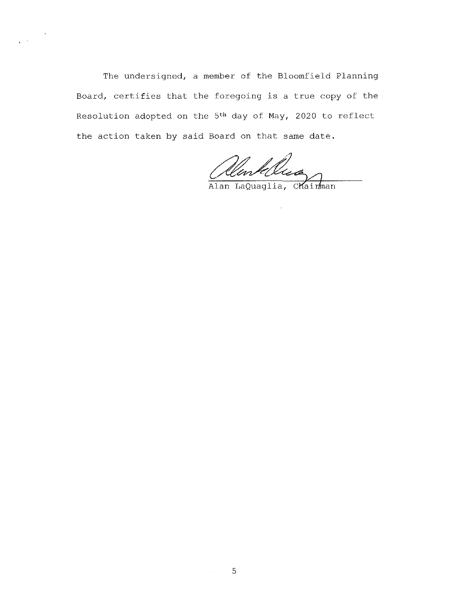The undersigned, a member of the Bloomfield Planning Board, certifies that the foregoing is a true copy of the Resolution adopted on the 5th day of May, 2020 to reflect the action taken by said Board on that same date.

 $\mathbb{R}^{\mathbb{Z}^2}$ 

Alentelle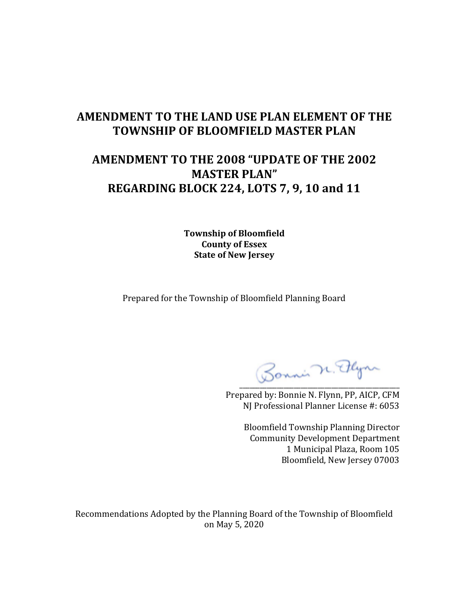## **AMENDMENT TO THE LAND USE PLAN ELEMENT OF THE TOWNSHIP OF BLOOMFIELD MASTER PLAN**

# **AMENDMENT TO THE 2008 "UPDATE OF THE 2002 MASTER PLAN" REGARDING BLOCK 224, LOTS 7, 9, 10 and 11**

**Township of Bloomfield County of Essex State of New Jersey**

Prepared for the Township of Bloomfield Planning Board

Bonni n. Plyn

Prepared by: Bonnie N. Flynn, PP, AICP, CFM NJ Professional Planner License #: 6053

> Bloomfield Township Planning Director Community Development Department 1 Municipal Plaza, Room 105 Bloomfield, New Jersey 07003

Recommendations Adopted by the Planning Board of the Township of Bloomfield on May 5, 2020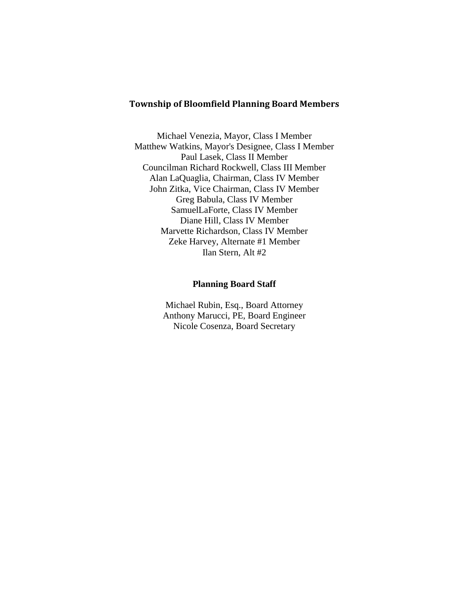### **Township of Bloomfield Planning Board Members**

Michael Venezia, Mayor, Class I Member Matthew Watkins, Mayor's Designee, Class I Member Paul Lasek, Class II Member Councilman Richard Rockwell, Class III Member Alan LaQuaglia, Chairman, Class IV Member John Zitka, Vice Chairman, Class IV Member Greg Babula, Class IV Member SamuelLaForte, Class IV Member Diane Hill, Class IV Member Marvette Richardson, Class IV Member Zeke Harvey, Alternate #1 Member Ilan Stern, Alt #2

#### **Planning Board Staff**

Michael Rubin, Esq., Board Attorney Anthony Marucci, PE, Board Engineer Nicole Cosenza, Board Secretary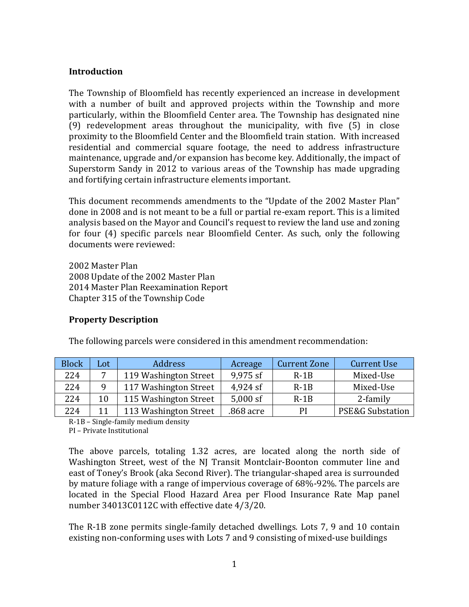## **Introduction**

The Township of Bloomfield has recently experienced an increase in development with a number of built and approved projects within the Township and more particularly, within the Bloomfield Center area. The Township has designated nine (9) redevelopment areas throughout the municipality, with five (5) in close proximity to the Bloomfield Center and the Bloomfield train station. With increased residential and commercial square footage, the need to address infrastructure maintenance, upgrade and/or expansion has become key. Additionally, the impact of Superstorm Sandy in 2012 to various areas of the Township has made upgrading and fortifying certain infrastructure elements important.

This document recommends amendments to the "Update of the 2002 Master Plan" done in 2008 and is not meant to be a full or partial re-exam report. This is a limited analysis based on the Mayor and Council's request to review the land use and zoning for four (4) specific parcels near Bloomfield Center. As such, only the following documents were reviewed:

2002 Master Plan 2008 Update of the 2002 Master Plan 2014 Master Plan Reexamination Report Chapter 315 of the Township Code

## **Property Description**

| The following parcels were considered in this amendment recommendation: |  |
|-------------------------------------------------------------------------|--|
|-------------------------------------------------------------------------|--|

| <b>Block</b> | Lot            | <b>Address</b>        | Acreage   | <b>Current Zone</b> | <b>Current Use</b>          |
|--------------|----------------|-----------------------|-----------|---------------------|-----------------------------|
| 224          | $\overline{ }$ | 119 Washington Street | 9,975 sf  | $R-1B$              | Mixed-Use                   |
| 224          | q              | 117 Washington Street | 4,924 sf  | $R-1B$              | Mixed-Use                   |
| 224          | 10             | 115 Washington Street | 5,000 sf  | $R-1B$              | 2-family                    |
| 224          | 11             | 113 Washington Street | .868 acre | PI                  | <b>PSE&amp;G Substation</b> |

R-1B – Single-family medium density

PI – Private Institutional

The above parcels, totaling 1.32 acres, are located along the north side of Washington Street, west of the NJ Transit Montclair-Boonton commuter line and east of Toney's Brook (aka Second River). The triangular-shaped area is surrounded by mature foliage with a range of impervious coverage of 68%-92%. The parcels are located in the Special Flood Hazard Area per Flood Insurance Rate Map panel number 34013C0112C with effective date 4/3/20.

The R-1B zone permits single-family detached dwellings. Lots 7, 9 and 10 contain existing non-conforming uses with Lots 7 and 9 consisting of mixed-use buildings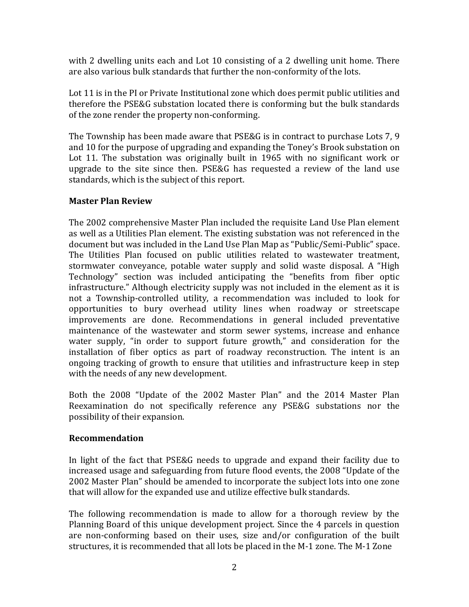with 2 dwelling units each and Lot 10 consisting of a 2 dwelling unit home. There are also various bulk standards that further the non-conformity of the lots.

Lot 11 is in the PI or Private Institutional zone which does permit public utilities and therefore the PSE&G substation located there is conforming but the bulk standards of the zone render the property non-conforming.

The Township has been made aware that PSE&G is in contract to purchase Lots 7, 9 and 10 for the purpose of upgrading and expanding the Toney's Brook substation on Lot 11. The substation was originally built in 1965 with no significant work or upgrade to the site since then. PSE&G has requested a review of the land use standards, which is the subject of this report.

## **Master Plan Review**

The 2002 comprehensive Master Plan included the requisite Land Use Plan element as well as a Utilities Plan element. The existing substation was not referenced in the document but was included in the Land Use Plan Map as "Public/Semi-Public" space. The Utilities Plan focused on public utilities related to wastewater treatment, stormwater conveyance, potable water supply and solid waste disposal. A "High Technology" section was included anticipating the "benefits from fiber optic infrastructure." Although electricity supply was not included in the element as it is not a Township-controlled utility, a recommendation was included to look for opportunities to bury overhead utility lines when roadway or streetscape improvements are done. Recommendations in general included preventative maintenance of the wastewater and storm sewer systems, increase and enhance water supply, "in order to support future growth," and consideration for the installation of fiber optics as part of roadway reconstruction. The intent is an ongoing tracking of growth to ensure that utilities and infrastructure keep in step with the needs of any new development.

Both the 2008 "Update of the 2002 Master Plan" and the 2014 Master Plan Reexamination do not specifically reference any PSE&G substations nor the possibility of their expansion.

## **Recommendation**

In light of the fact that PSE&G needs to upgrade and expand their facility due to increased usage and safeguarding from future flood events, the 2008 "Update of the 2002 Master Plan" should be amended to incorporate the subject lots into one zone that will allow for the expanded use and utilize effective bulk standards.

The following recommendation is made to allow for a thorough review by the Planning Board of this unique development project. Since the 4 parcels in question are non-conforming based on their uses, size and/or configuration of the built structures, it is recommended that all lots be placed in the M-1 zone. The M-1 Zone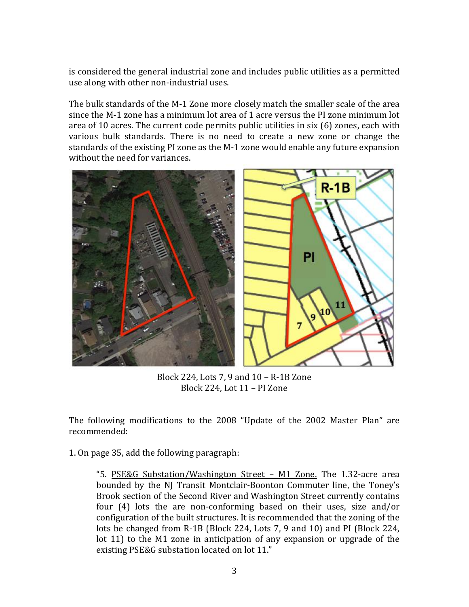is considered the general industrial zone and includes public utilities as a permitted use along with other non-industrial uses.

The bulk standards of the M-1 Zone more closely match the smaller scale of the area since the M-1 zone has a minimum lot area of 1 acre versus the PI zone minimum lot area of 10 acres. The current code permits public utilities in six (6) zones, each with various bulk standards. There is no need to create a new zone or change the standards of the existing PI zone as the M-1 zone would enable any future expansion without the need for variances.



Block 224, Lots 7, 9 and 10 – R-1B Zone Block 224, Lot 11 – PI Zone

The following modifications to the 2008 "Update of the 2002 Master Plan" are recommended:

1. On page 35, add the following paragraph:

"5. PSE&G Substation/Washington Street – M1 Zone. The 1.32-acre area bounded by the NJ Transit Montclair-Boonton Commuter line, the Toney's Brook section of the Second River and Washington Street currently contains four (4) lots the are non-conforming based on their uses, size and/or configuration of the built structures. It is recommended that the zoning of the lots be changed from R-1B (Block 224, Lots 7, 9 and 10) and PI (Block 224, lot 11) to the M1 zone in anticipation of any expansion or upgrade of the existing PSE&G substation located on lot 11."